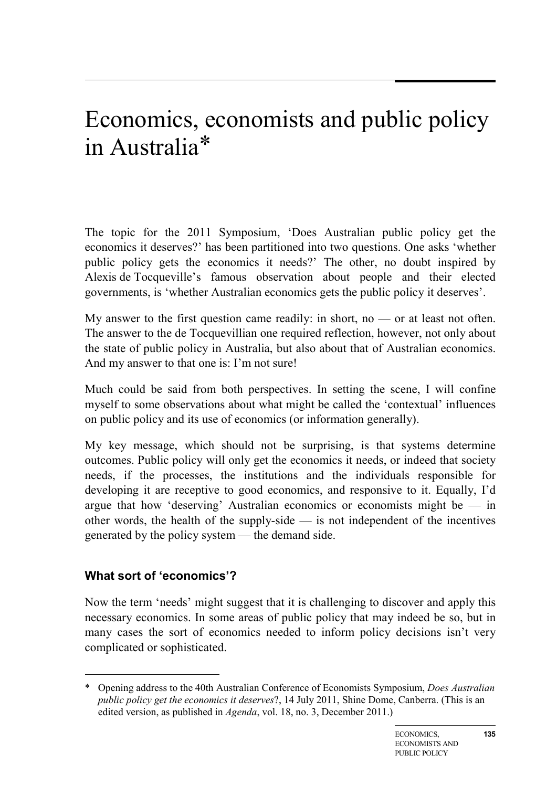# Economics, economists and public policy in Australia[\\*](#page-0-0)

The topic for the 2011 Symposium, 'Does Australian public policy get the economics it deserves?' has been partitioned into two questions. One asks 'whether public policy gets the economics it needs?' The other, no doubt inspired by Alexis de Tocqueville's famous observation about people and their elected governments, is 'whether Australian economics gets the public policy it deserves'.

My answer to the first question came readily: in short, no  $-$  or at least not often. The answer to the de Tocquevillian one required reflection, however, not only about the state of public policy in Australia, but also about that of Australian economics. And my answer to that one is: I'm not sure!

Much could be said from both perspectives. In setting the scene, I will confine myself to some observations about what might be called the 'contextual' influences on public policy and its use of economics (or information generally).

My key message, which should not be surprising, is that systems determine outcomes. Public policy will only get the economics it needs, or indeed that society needs, if the processes, the institutions and the individuals responsible for developing it are receptive to good economics, and responsive to it. Equally, I'd argue that how 'deserving' Australian economics or economists might be — in other words, the health of the supply-side — is not independent of the incentives generated by the policy system — the demand side.

#### **What sort of 'economics'?**

-

Now the term 'needs' might suggest that it is challenging to discover and apply this necessary economics. In some areas of public policy that may indeed be so, but in many cases the sort of economics needed to inform policy decisions isn't very complicated or sophisticated.

<span id="page-0-0"></span><sup>\*</sup> Opening address to the 40th Australian Conference of Economists Symposium, *Does Australian public policy get the economics it deserves*?, 14 July 2011, Shine Dome, Canberra. (This is an edited version, as published in *Agenda*, vol. 18, no. 3, December 2011.)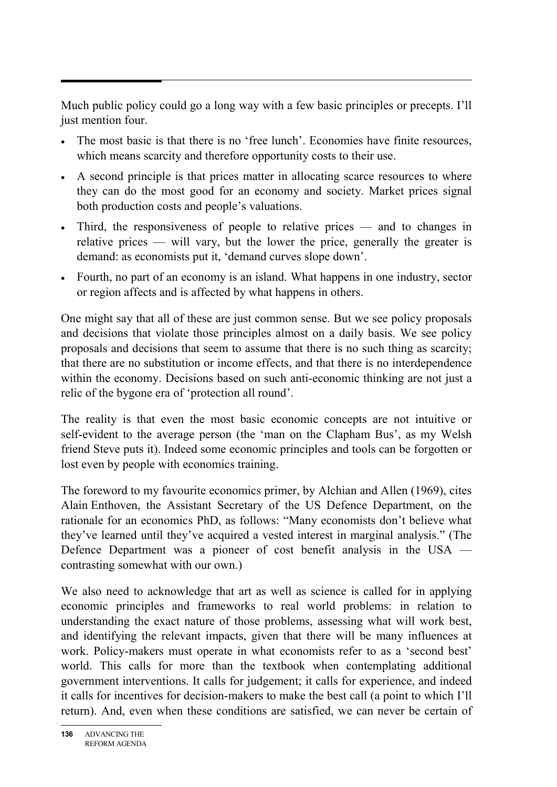Much public policy could go a long way with a few basic principles or precepts. I'll just mention four.

- The most basic is that there is no 'free lunch'. Economies have finite resources, which means scarcity and therefore opportunity costs to their use.
- A second principle is that prices matter in allocating scarce resources to where they can do the most good for an economy and society. Market prices signal both production costs and people's valuations.
- Third, the responsiveness of people to relative prices and to changes in relative prices — will vary, but the lower the price, generally the greater is demand: as economists put it, 'demand curves slope down'.
- Fourth, no part of an economy is an island. What happens in one industry, sector or region affects and is affected by what happens in others.

One might say that all of these are just common sense. But we see policy proposals and decisions that violate those principles almost on a daily basis. We see policy proposals and decisions that seem to assume that there is no such thing as scarcity; that there are no substitution or income effects, and that there is no interdependence within the economy. Decisions based on such anti-economic thinking are not just a relic of the bygone era of 'protection all round'.

The reality is that even the most basic economic concepts are not intuitive or self-evident to the average person (the 'man on the Clapham Bus', as my Welsh friend Steve puts it). Indeed some economic principles and tools can be forgotten or lost even by people with economics training.

The foreword to my favourite economics primer, by Alchian and Allen (1969), cites Alain Enthoven, the Assistant Secretary of the US Defence Department, on the rationale for an economics PhD, as follows: "Many economists don't believe what they've learned until they've acquired a vested interest in marginal analysis." (The Defence Department was a pioneer of cost benefit analysis in the USA contrasting somewhat with our own.)

We also need to acknowledge that art as well as science is called for in applying economic principles and frameworks to real world problems: in relation to understanding the exact nature of those problems, assessing what will work best, and identifying the relevant impacts, given that there will be many influences at work. Policy-makers must operate in what economists refer to as a 'second best' world. This calls for more than the textbook when contemplating additional government interventions. It calls for judgement; it calls for experience, and indeed it calls for incentives for decision-makers to make the best call (a point to which I'll return). And, even when these conditions are satisfied, we can never be certain of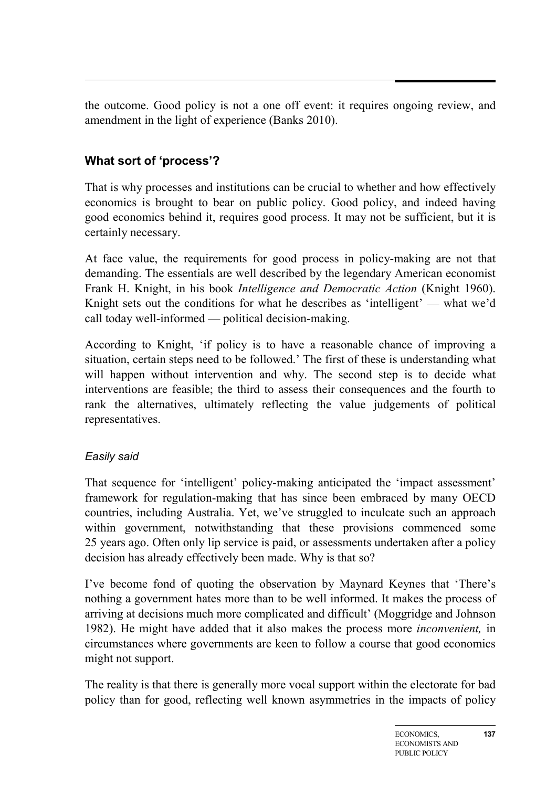the outcome. Good policy is not a one off event: it requires ongoing review, and amendment in the light of experience (Banks 2010).

## **What sort of 'process'?**

That is why processes and institutions can be crucial to whether and how effectively economics is brought to bear on public policy. Good policy, and indeed having good economics behind it, requires good process. It may not be sufficient, but it is certainly necessary.

At face value, the requirements for good process in policy-making are not that demanding. The essentials are well described by the legendary American economist Frank H. Knight, in his book *Intelligence and Democratic Action* (Knight 1960). Knight sets out the conditions for what he describes as 'intelligent' — what we'd call today well-informed — political decision-making.

According to Knight, 'if policy is to have a reasonable chance of improving a situation, certain steps need to be followed.' The first of these is understanding what will happen without intervention and why. The second step is to decide what interventions are feasible; the third to assess their consequences and the fourth to rank the alternatives, ultimately reflecting the value judgements of political representatives.

#### *Easily said*

That sequence for 'intelligent' policy-making anticipated the 'impact assessment' framework for regulation-making that has since been embraced by many OECD countries, including Australia. Yet, we've struggled to inculcate such an approach within government, notwithstanding that these provisions commenced some 25 years ago. Often only lip service is paid, or assessments undertaken after a policy decision has already effectively been made. Why is that so?

I've become fond of quoting the observation by Maynard Keynes that 'There's nothing a government hates more than to be well informed. It makes the process of arriving at decisions much more complicated and difficult' (Moggridge and Johnson 1982). He might have added that it also makes the process more *inconvenient,* in circumstances where governments are keen to follow a course that good economics might not support.

The reality is that there is generally more vocal support within the electorate for bad policy than for good, reflecting well known asymmetries in the impacts of policy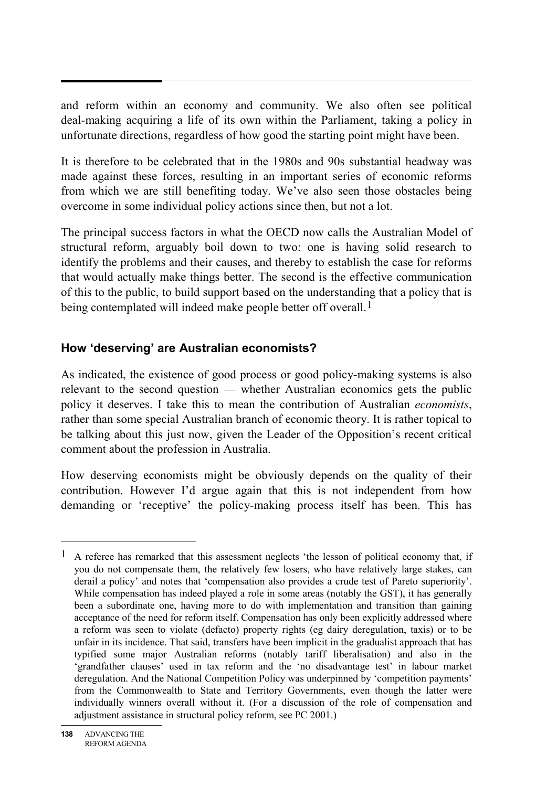and reform within an economy and community. We also often see political deal-making acquiring a life of its own within the Parliament, taking a policy in unfortunate directions, regardless of how good the starting point might have been.

It is therefore to be celebrated that in the 1980s and 90s substantial headway was made against these forces, resulting in an important series of economic reforms from which we are still benefiting today. We've also seen those obstacles being overcome in some individual policy actions since then, but not a lot.

The principal success factors in what the OECD now calls the Australian Model of structural reform, arguably boil down to two: one is having solid research to identify the problems and their causes, and thereby to establish the case for reforms that would actually make things better. The second is the effective communication of this to the public, to build support based on the understanding that a policy that is being contemplated will indeed make people better off overall.<sup>[1](#page-3-0)</sup>

### **How 'deserving' are Australian economists?**

As indicated, the existence of good process or good policy-making systems is also relevant to the second question — whether Australian economics gets the public policy it deserves. I take this to mean the contribution of Australian *economists*, rather than some special Australian branch of economic theory. It is rather topical to be talking about this just now, given the Leader of the Opposition's recent critical comment about the profession in Australia.

How deserving economists might be obviously depends on the quality of their contribution. However I'd argue again that this is not independent from how demanding or 'receptive' the policy-making process itself has been. This has

 $\overline{a}$ 

<span id="page-3-0"></span><sup>&</sup>lt;sup>1</sup> A referee has remarked that this assessment neglects 'the lesson of political economy that, if you do not compensate them, the relatively few losers, who have relatively large stakes, can derail a policy' and notes that 'compensation also provides a crude test of Pareto superiority'. While compensation has indeed played a role in some areas (notably the GST), it has generally been a subordinate one, having more to do with implementation and transition than gaining acceptance of the need for reform itself. Compensation has only been explicitly addressed where a reform was seen to violate (defacto) property rights (eg dairy deregulation, taxis) or to be unfair in its incidence. That said, transfers have been implicit in the gradualist approach that has typified some major Australian reforms (notably tariff liberalisation) and also in the 'grandfather clauses' used in tax reform and the 'no disadvantage test' in labour market deregulation. And the National Competition Policy was underpinned by 'competition payments' from the Commonwealth to State and Territory Governments, even though the latter were individually winners overall without it. (For a discussion of the role of compensation and adjustment assistance in structural policy reform, see PC 2001.)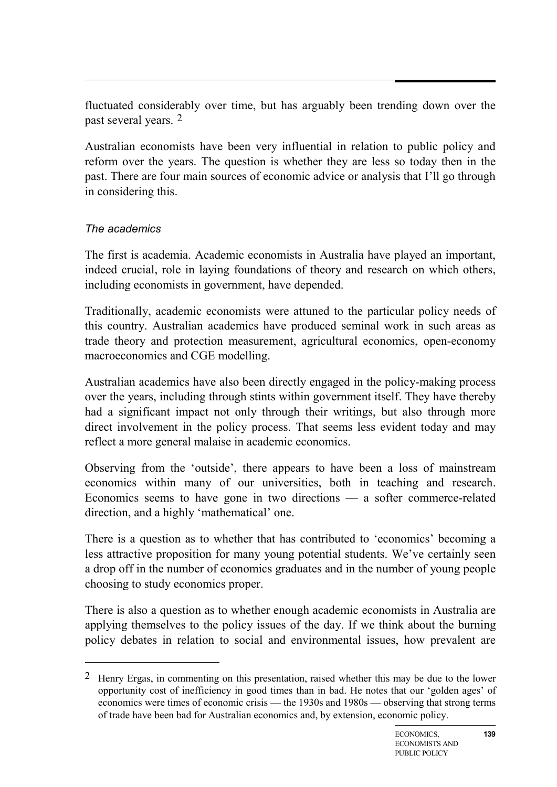fluctuated considerably over time, but has arguably been trending down over the past several years. [2](#page-4-0)

Australian economists have been very influential in relation to public policy and reform over the years. The question is whether they are less so today then in the past. There are four main sources of economic advice or analysis that I'll go through in considering this.

#### *The academics*

-

The first is academia. Academic economists in Australia have played an important, indeed crucial, role in laying foundations of theory and research on which others, including economists in government, have depended.

Traditionally, academic economists were attuned to the particular policy needs of this country. Australian academics have produced seminal work in such areas as trade theory and protection measurement, agricultural economics, open-economy macroeconomics and CGE modelling.

Australian academics have also been directly engaged in the policy-making process over the years, including through stints within government itself. They have thereby had a significant impact not only through their writings, but also through more direct involvement in the policy process. That seems less evident today and may reflect a more general malaise in academic economics.

Observing from the 'outside', there appears to have been a loss of mainstream economics within many of our universities, both in teaching and research. Economics seems to have gone in two directions — a softer commerce-related direction, and a highly 'mathematical' one.

There is a question as to whether that has contributed to 'economics' becoming a less attractive proposition for many young potential students. We've certainly seen a drop off in the number of economics graduates and in the number of young people choosing to study economics proper.

There is also a question as to whether enough academic economists in Australia are applying themselves to the policy issues of the day. If we think about the burning policy debates in relation to social and environmental issues, how prevalent are

<span id="page-4-0"></span><sup>&</sup>lt;sup>2</sup> Henry Ergas, in commenting on this presentation, raised whether this may be due to the lower opportunity cost of inefficiency in good times than in bad. He notes that our 'golden ages' of economics were times of economic crisis — the 1930s and 1980s — observing that strong terms of trade have been bad for Australian economics and, by extension, economic policy.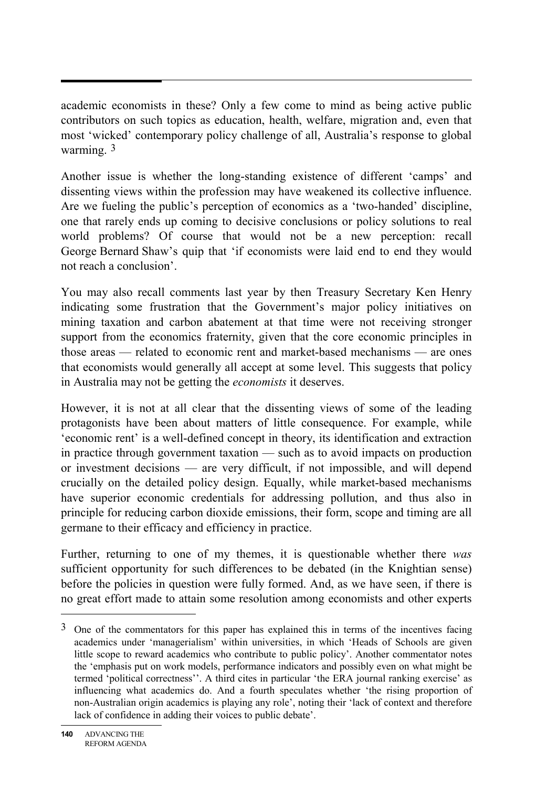academic economists in these? Only a few come to mind as being active public contributors on such topics as education, health, welfare, migration and, even that most 'wicked' contemporary policy challenge of all, Australia's response to global warming.<sup>[3](#page-5-0)</sup>

Another issue is whether the long-standing existence of different 'camps' and dissenting views within the profession may have weakened its collective influence. Are we fueling the public's perception of economics as a 'two-handed' discipline, one that rarely ends up coming to decisive conclusions or policy solutions to real world problems? Of course that would not be a new perception: recall George Bernard Shaw's quip that 'if economists were laid end to end they would not reach a conclusion'.

You may also recall comments last year by then Treasury Secretary Ken Henry indicating some frustration that the Government's major policy initiatives on mining taxation and carbon abatement at that time were not receiving stronger support from the economics fraternity, given that the core economic principles in those areas — related to economic rent and market-based mechanisms — are ones that economists would generally all accept at some level. This suggests that policy in Australia may not be getting the *economists* it deserves.

However, it is not at all clear that the dissenting views of some of the leading protagonists have been about matters of little consequence. For example, while 'economic rent' is a well-defined concept in theory, its identification and extraction in practice through government taxation — such as to avoid impacts on production or investment decisions — are very difficult, if not impossible, and will depend crucially on the detailed policy design. Equally, while market-based mechanisms have superior economic credentials for addressing pollution, and thus also in principle for reducing carbon dioxide emissions, their form, scope and timing are all germane to their efficacy and efficiency in practice.

Further, returning to one of my themes, it is questionable whether there *was* sufficient opportunity for such differences to be debated (in the Knightian sense) before the policies in question were fully formed. And, as we have seen, if there is no great effort made to attain some resolution among economists and other experts

 $\overline{a}$ 

<span id="page-5-0"></span> $3$  One of the commentators for this paper has explained this in terms of the incentives facing academics under 'managerialism' within universities, in which 'Heads of Schools are given little scope to reward academics who contribute to public policy'. Another commentator notes the 'emphasis put on work models, performance indicators and possibly even on what might be termed 'political correctness''. A third cites in particular 'the ERA journal ranking exercise' as influencing what academics do. And a fourth speculates whether 'the rising proportion of non-Australian origin academics is playing any role', noting their 'lack of context and therefore lack of confidence in adding their voices to public debate'.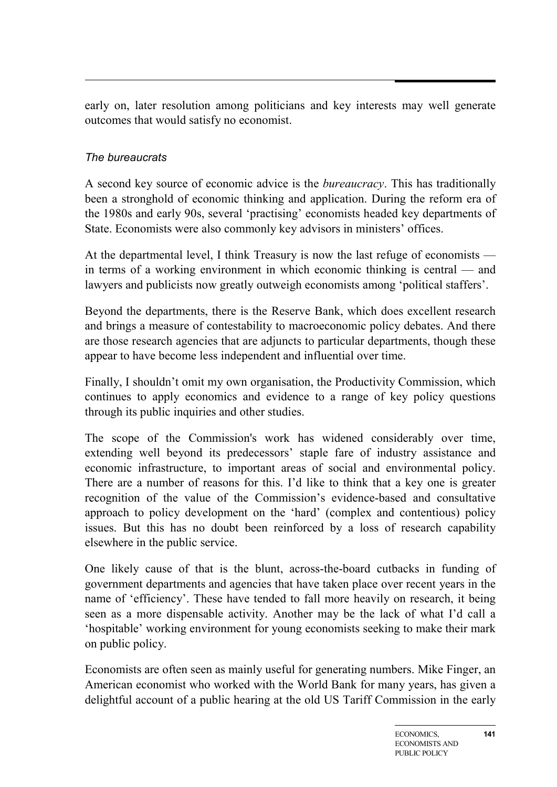early on, later resolution among politicians and key interests may well generate outcomes that would satisfy no economist.

#### *The bureaucrats*

A second key source of economic advice is the *bureaucracy*. This has traditionally been a stronghold of economic thinking and application. During the reform era of the 1980s and early 90s, several 'practising' economists headed key departments of State. Economists were also commonly key advisors in ministers' offices.

At the departmental level, I think Treasury is now the last refuge of economists in terms of a working environment in which economic thinking is central — and lawyers and publicists now greatly outweigh economists among 'political staffers'.

Beyond the departments, there is the Reserve Bank, which does excellent research and brings a measure of contestability to macroeconomic policy debates. And there are those research agencies that are adjuncts to particular departments, though these appear to have become less independent and influential over time.

Finally, I shouldn't omit my own organisation, the Productivity Commission, which continues to apply economics and evidence to a range of key policy questions through its public inquiries and other studies.

The scope of the Commission's work has widened considerably over time, extending well beyond its predecessors' staple fare of industry assistance and economic infrastructure, to important areas of social and environmental policy. There are a number of reasons for this. I'd like to think that a key one is greater recognition of the value of the Commission's evidence-based and consultative approach to policy development on the 'hard' (complex and contentious) policy issues. But this has no doubt been reinforced by a loss of research capability elsewhere in the public service.

One likely cause of that is the blunt, across-the-board cutbacks in funding of government departments and agencies that have taken place over recent years in the name of 'efficiency'. These have tended to fall more heavily on research, it being seen as a more dispensable activity. Another may be the lack of what I'd call a 'hospitable' working environment for young economists seeking to make their mark on public policy.

Economists are often seen as mainly useful for generating numbers. Mike Finger, an American economist who worked with the World Bank for many years, has given a delightful account of a public hearing at the old US Tariff Commission in the early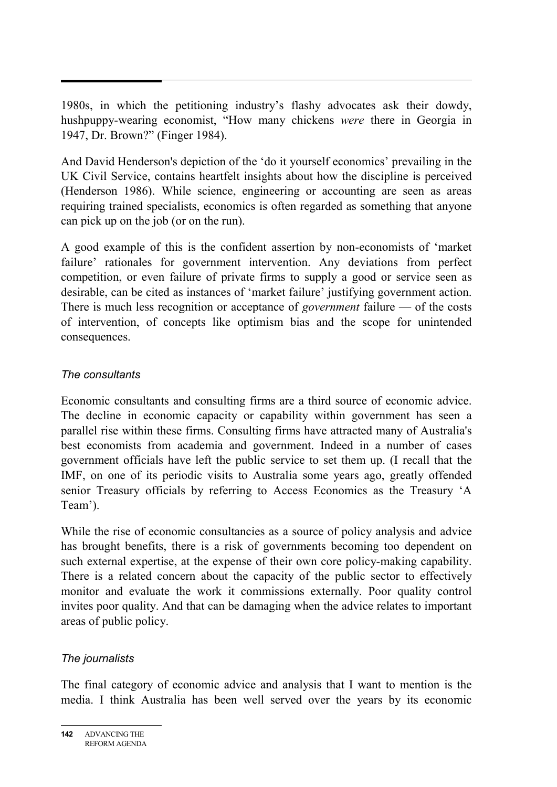1980s, in which the petitioning industry's flashy advocates ask their dowdy, hushpuppy-wearing economist, "How many chickens *were* there in Georgia in 1947, Dr. Brown?" (Finger 1984).

And David Henderson's depiction of the 'do it yourself economics' prevailing in the UK Civil Service, contains heartfelt insights about how the discipline is perceived (Henderson 1986). While science, engineering or accounting are seen as areas requiring trained specialists, economics is often regarded as something that anyone can pick up on the job (or on the run).

A good example of this is the confident assertion by non-economists of 'market failure' rationales for government intervention. Any deviations from perfect competition, or even failure of private firms to supply a good or service seen as desirable, can be cited as instances of 'market failure' justifying government action. There is much less recognition or acceptance of *government* failure — of the costs of intervention, of concepts like optimism bias and the scope for unintended consequences.

#### *The consultants*

Economic consultants and consulting firms are a third source of economic advice. The decline in economic capacity or capability within government has seen a parallel rise within these firms. Consulting firms have attracted many of Australia's best economists from academia and government. Indeed in a number of cases government officials have left the public service to set them up. (I recall that the IMF, on one of its periodic visits to Australia some years ago, greatly offended senior Treasury officials by referring to Access Economics as the Treasury 'A Team').

While the rise of economic consultancies as a source of policy analysis and advice has brought benefits, there is a risk of governments becoming too dependent on such external expertise, at the expense of their own core policy-making capability. There is a related concern about the capacity of the public sector to effectively monitor and evaluate the work it commissions externally. Poor quality control invites poor quality. And that can be damaging when the advice relates to important areas of public policy.

#### *The journalists*

The final category of economic advice and analysis that I want to mention is the media. I think Australia has been well served over the years by its economic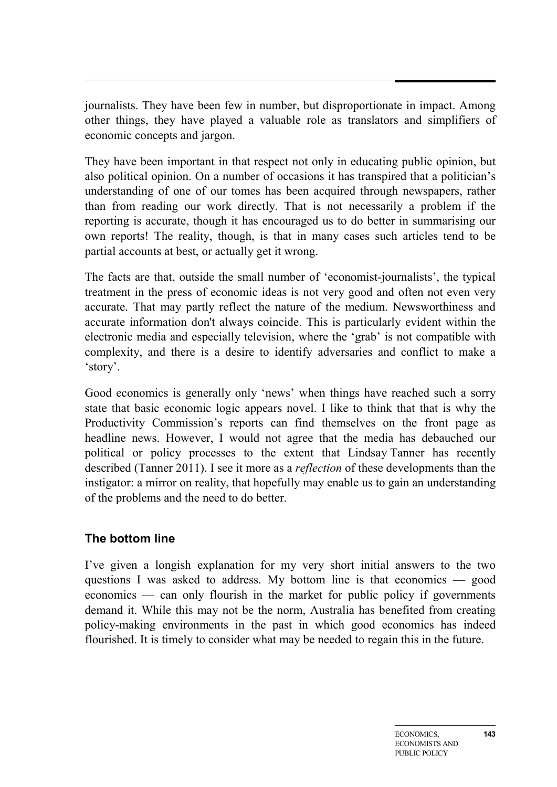journalists. They have been few in number, but disproportionate in impact. Among other things, they have played a valuable role as translators and simplifiers of economic concepts and jargon.

They have been important in that respect not only in educating public opinion, but also political opinion. On a number of occasions it has transpired that a politician's understanding of one of our tomes has been acquired through newspapers, rather than from reading our work directly. That is not necessarily a problem if the reporting is accurate, though it has encouraged us to do better in summarising our own reports! The reality, though, is that in many cases such articles tend to be partial accounts at best, or actually get it wrong.

The facts are that, outside the small number of 'economist-journalists', the typical treatment in the press of economic ideas is not very good and often not even very accurate. That may partly reflect the nature of the medium. Newsworthiness and accurate information don't always coincide. This is particularly evident within the electronic media and especially television, where the 'grab' is not compatible with complexity, and there is a desire to identify adversaries and conflict to make a 'story'.

Good economics is generally only 'news' when things have reached such a sorry state that basic economic logic appears novel. I like to think that that is why the Productivity Commission's reports can find themselves on the front page as headline news. However, I would not agree that the media has debauched our political or policy processes to the extent that Lindsay Tanner has recently described (Tanner 2011). I see it more as a *reflection* of these developments than the instigator: a mirror on reality, that hopefully may enable us to gain an understanding of the problems and the need to do better.

#### **The bottom line**

I've given a longish explanation for my very short initial answers to the two questions I was asked to address. My bottom line is that economics — good economics — can only flourish in the market for public policy if governments demand it. While this may not be the norm, Australia has benefited from creating policy-making environments in the past in which good economics has indeed flourished. It is timely to consider what may be needed to regain this in the future.

**143**